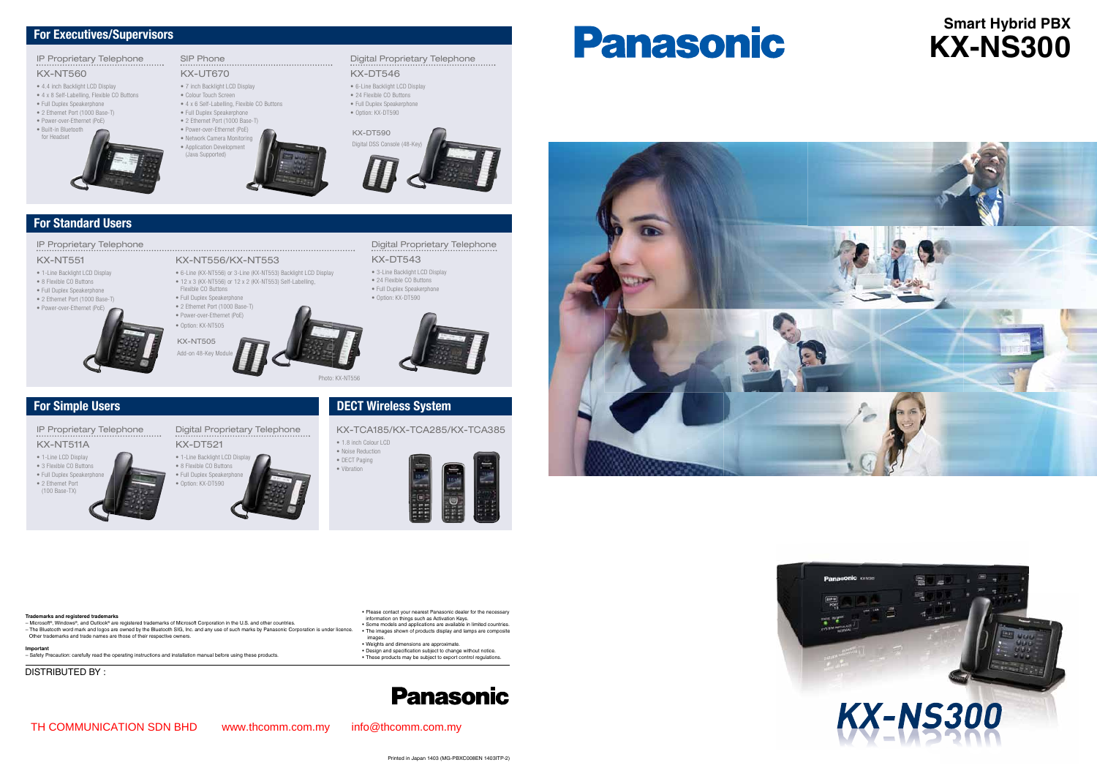#### • Please contact your nearest Panasonic dealer for the necessary<br>information on things such as Activation Keys. • Some models and applications are available in limited countries. The images shown of products display and lamps are composite •

- 
- images. Weights and dimensions are approximate. •
- Design and specification subject to change without notice. These products may be subject to export control regulations.
	-

# Panasonic





#### **Trademarks and registered trademarks**

– Microsoft®, Windows®, and Outlook® are registered trademarks of Microsoft Corporation in the U.S. and other countries. – The Bluetooth word mark and logos are owned by the Bluetooth SIG, Inc. and any use of such marks by Panasonic Corporation is under licence. Other trademarks and trade names are those of their respective owners.

#### **Importan**

- 4 x 6 Self-Labelling, Flexible CO Buttons • Full Duplex Speakerphone
- 2 Ethernet Port (1000 Base-T)
- Power-over-Ethernet (PoE)
- Network Camera Monitoring
- Application Development
- (Java Supported)

– Safety Precaution: carefully read the operating instructions and installation manual before using these products.

• 1.8 inch Colour LCD • Noise Reduction • DECT Paging • Vibration



DISTRIBUTED BY :

# **Smart Hybrid PBX KX-NS300**



## For Standard Users

SIP Phone KX-UT670

• 7 inch Backlight LCD Display • Colour Touch Screen

- 3-Line Backlight LCD Display • 24 Flexible CO Buttons
- Full Duplex Speakerphone • Option: KX-DT590



#### IP Proprietary Telephone

### IP Proprietary Telephone

#### KX-NT511A

- 1-Line LCD Display
- 3 Flexible CO Buttons • Full Duplex Speakerph
- 2 Ethernet Port (100 Base-TX)

Digital Proprietary Telephone

#### KX-DT521 • 1-Line Backlight LCD Display



#### KX-TCA185/KX-TCA285/KX-TCA385

KX-NT556/KX-NT553

- 
- Add-on 48-Key Modul

• 6-Line (KX-NT556) or 3-Line (KX-NT553) Backlight LCD Display • 12 x 3 (KX-NT556) or 12 x 2 (KX-NT553) Self-Labelling,

Flexible CO Buttons • Full Duplex Speakerphone

#### KX-NT551

- 1-Line Backlight LCD Display
- 8 Flexible CO Buttons
- Full Duplex Speakerphone
- 2 Ethernet Port (1000 Base-T)
- Power-over-Ethernet (PoE)
- 2 Ethernet Port (1000 Base-T) • Power-over-Ethernet (PoE)
	- Option: KX-NT505

#### Digital Proprietary Telephone KX-DT543

## IP Proprietary Telephone

#### KX-NT560

- 4.4 inch Backlight LCD Display
- 4 x 8 Self-Labelling, Flexible CO Buttons
- Full Duplex Speakerphone
- 2 Ethernet Port (1000 Base-T)
- Power-over-Ethernet (PoE) • Built-in Bluetooth
- for Headset



## Digital Proprietary Telephone

#### KX-DT546

- 6-Line Backlight LCD Display
- 24 Flexible CO Buttons • Full Duplex Speakerphone
- Option: KX-DT590
- 



- 
- KX-NT505



Photo: KX-NT556

# For Simple Users **DECT Wireless System**

#### For Executives/Supervisors

TH COMMUNICATION SDN BHD www.thcomm.com.my info@thcomm.com.my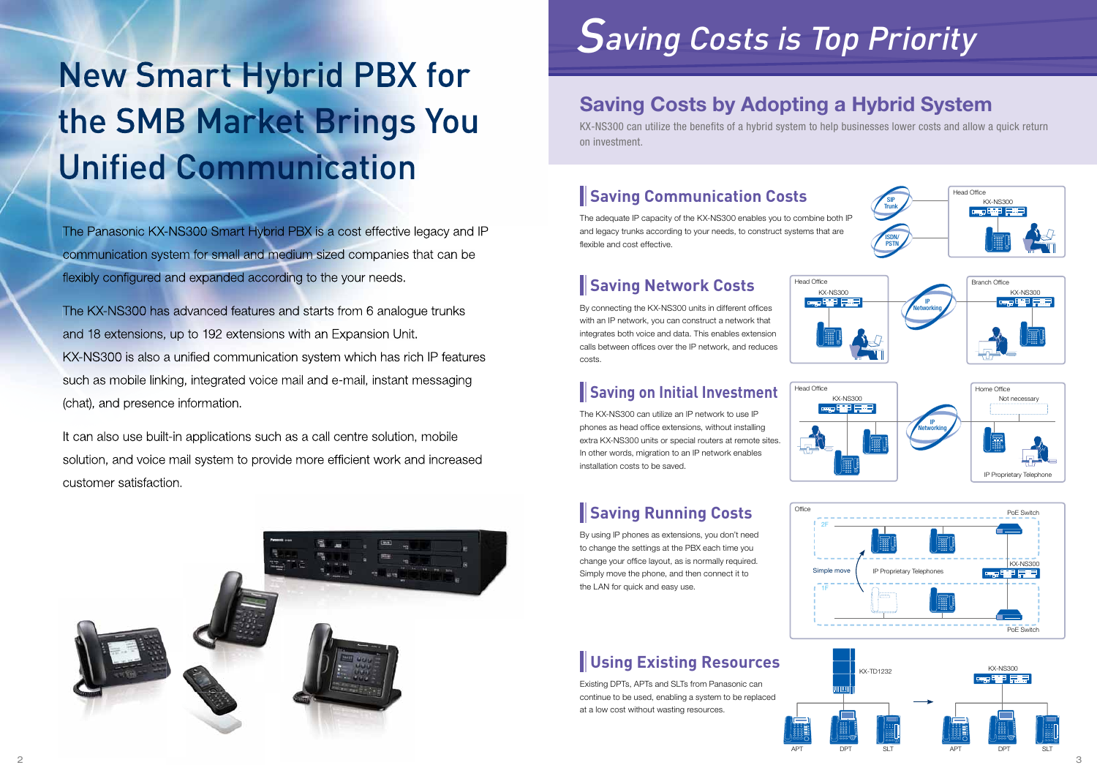The adequate IP capacity of the KX-NS300 enables you to combine both IP and legacy trunks according to your needs, to construct systems that are flexible and cost effective.

# **Saving Communication Costs**

By connecting the KX-NS300 units in different offices with an IP network, you can construct a network that integrates both voice and data. This enables extension calls between offices over the IP network, and reduces costs.

# **Saving Network Costs**

# **Saving on Initial Investment**

The KX-NS300 can utilize an IP network to use IP phones as head office extensions, without installing extra KX-NS300 units or special routers at remote sites. In other words, migration to an IP network enables installation costs to be saved.

# New Smart Hybrid PBX for the SMB Market Brings You Unified Communication

# **Saving Running Costs**

The Panasonic KX-NS300 Smart Hybrid PBX is a cost effective legacy and IP communication system for small and medium sized companies that can be flexibly configured and expanded according to the your needs.

> By using IP phones as extensions, you don't need to change the settings at the PBX each time you change your office layout, as is normally required. Simply move the phone, and then connect it to the LAN for quick and easy use.

# **Using Existing Resources**

Existing DPTs, APTs and SLTs from Panasonic can continue to be used, enabling a system to be replaced at a low cost without wasting resources.



# Saving Costs by Adopting a Hybrid System

KX-NS300 can utilize the benefits of a hybrid system to help businesses lower costs and allow a quick return on investment.



The KX-NS300 has advanced features and starts from 6 analogue trunks and 18 extensions, up to 192 extensions with an Expansion Unit. KX-NS300 is also a unified communication system which has rich IP features such as mobile linking, integrated voice mail and e-mail, instant messaging (chat), and presence information.

It can also use built-in applications such as a call centre solution, mobile solution, and voice mail system to provide more efficient work and increased customer satisfaction.



# Saving Costs is Top Priority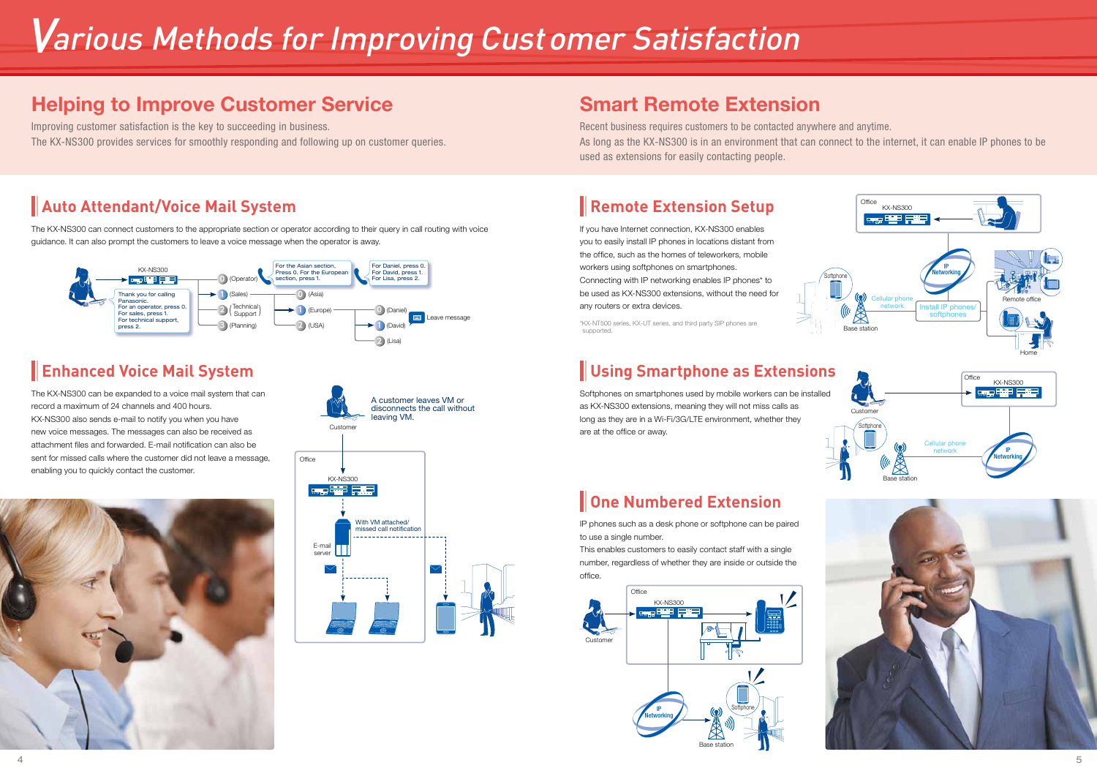

# **Auto Attendant/Voice Mail System**

The KX-NS300 can connect customers to the appropriate section or operator according to their query in call routing with voice guidance. It can also prompt the customers to leave a voice message when the operator is away.

# Various Methods for Improving Customer Satisfaction

# Helping to Improve Customer Service

Improving customer satisfaction is the key to succeeding in business. The KX-NS300 provides services for smoothly responding and following up on customer queries.

# **Enhanced Voice Mail System**

The KX-NS300 can be expanded to a voice mail system that can record a maximum of 24 channels and 400 hours. KX-NS300 also sends e-mail to notify you when you have new voice messages. The messages can also be received as attachment files and forwarded. E-mail notification can also be sent for missed calls where the customer did not leave a message, enabling you to quickly contact the customer.



If you have Internet connection, KX-NS300 enables you to easily install IP phones in locations distant from the office, such as the homes of teleworkers, mobile workers using softphones on smartphones. Connecting with IP networking enables IP phones\* to be used as KX-NS300 extensions, without the need for any routers or extra devices.



This enables customers to easily contact staff with a single number, regardless of whether they are inside or outside the office.







# Smart Remote Extension

Recent business requires customers to be contacted anywhere and anytime. As long as the KX-NS300 is in an environment that can connect to the internet, it can enable IP phones to be used as extensions for easily contacting people.

# **Remote Extension Setup**

\*KX-NT500 series, KX-UT series, and third party SIP phones are supported.

# **Using Smartphone as Extensions**

Softphones on smartphones used by mobile workers can be installed as KX-NS300 extensions, meaning they will not miss calls as long as they are in a Wi-Fi/3G/LTE environment, whether they are at the office or away.

**One Numbered Extension**

IP phones such as a desk phone or softphone can be paired to use a single number.